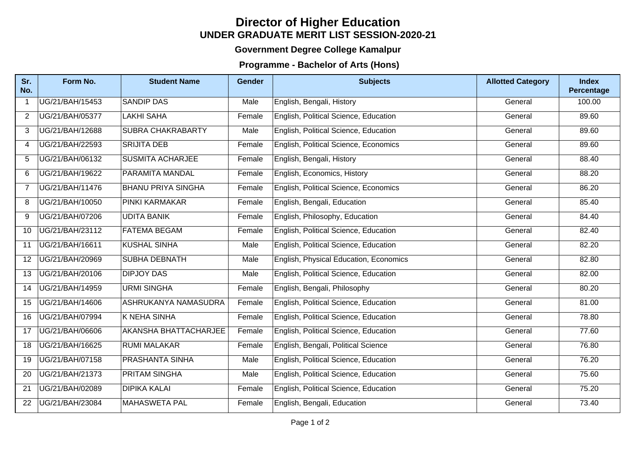## **UNDER GRADUATE MERIT LIST SESSION-2020-21 Director of Higher Education**

## **Government Degree College Kamalpur**

## **Programme - Bachelor of Arts (Hons)**

| Sr.<br>No.      | Form No.        | <b>Student Name</b>       | <b>Gender</b> | <b>Subjects</b>                        | <b>Allotted Category</b> | <b>Index</b><br>Percentage |
|-----------------|-----------------|---------------------------|---------------|----------------------------------------|--------------------------|----------------------------|
| $\mathbf 1$     | UG/21/BAH/15453 | <b>SANDIP DAS</b>         | Male          | English, Bengali, History              | General                  | 100.00                     |
| $\overline{2}$  | UG/21/BAH/05377 | <b>LAKHI SAHA</b>         | Female        | English, Political Science, Education  | General                  | 89.60                      |
| 3               | UG/21/BAH/12688 | <b>SUBRA CHAKRABARTY</b>  | Male          | English, Political Science, Education  | General                  | 89.60                      |
| 4               | UG/21/BAH/22593 | <b>SRIJITA DEB</b>        | Female        | English, Political Science, Economics  | General                  | 89.60                      |
| 5               | UG/21/BAH/06132 | <b>SUSMITA ACHARJEE</b>   | Female        | English, Bengali, History              | General                  | 88.40                      |
| 6               | UG/21/BAH/19622 | <b>PARAMITA MANDAL</b>    | Female        | English, Economics, History            | General                  | 88.20                      |
| $\overline{7}$  | UG/21/BAH/11476 | <b>BHANU PRIYA SINGHA</b> | Female        | English, Political Science, Economics  | General                  | 86.20                      |
| 8               | UG/21/BAH/10050 | <b>PINKI KARMAKAR</b>     | Female        | English, Bengali, Education            | General                  | 85.40                      |
| 9               | UG/21/BAH/07206 | <b>UDITA BANIK</b>        | Female        | English, Philosophy, Education         | General                  | 84.40                      |
| 10              | UG/21/BAH/23112 | <b>FATEMA BEGAM</b>       | Female        | English, Political Science, Education  | General                  | 82.40                      |
| 11              | UG/21/BAH/16611 | <b>KUSHAL SINHA</b>       | Male          | English, Political Science, Education  | General                  | 82.20                      |
| 12 <sup>2</sup> | UG/21/BAH/20969 | <b>SUBHA DEBNATH</b>      | Male          | English, Physical Education, Economics | General                  | 82.80                      |
| 13              | UG/21/BAH/20106 | <b>DIPJOY DAS</b>         | Male          | English, Political Science, Education  | General                  | 82.00                      |
| 14              | UG/21/BAH/14959 | <b>URMI SINGHA</b>        | Female        | English, Bengali, Philosophy           | General                  | 80.20                      |
| 15              | UG/21/BAH/14606 | ASHRUKANYA NAMASUDRA      | Female        | English, Political Science, Education  | General                  | 81.00                      |
| 16              | UG/21/BAH/07994 | <b>K NEHA SINHA</b>       | Female        | English, Political Science, Education  | General                  | 78.80                      |
| 17              | UG/21/BAH/06606 | AKANSHA BHATTACHARJEE     | Female        | English, Political Science, Education  | General                  | 77.60                      |
| 18              | UG/21/BAH/16625 | <b>RUMI MALAKAR</b>       | Female        | English, Bengali, Political Science    | General                  | 76.80                      |
| 19              | UG/21/BAH/07158 | <b>PRASHANTA SINHA</b>    | Male          | English, Political Science, Education  | General                  | 76.20                      |
| 20              | UG/21/BAH/21373 | <b>PRITAM SINGHA</b>      | Male          | English, Political Science, Education  | General                  | 75.60                      |
| 21              | UG/21/BAH/02089 | <b>DIPIKA KALAI</b>       | Female        | English, Political Science, Education  | General                  | 75.20                      |
| 22              | UG/21/BAH/23084 | <b>MAHASWETA PAL</b>      | Female        | English, Bengali, Education            | General                  | 73.40                      |